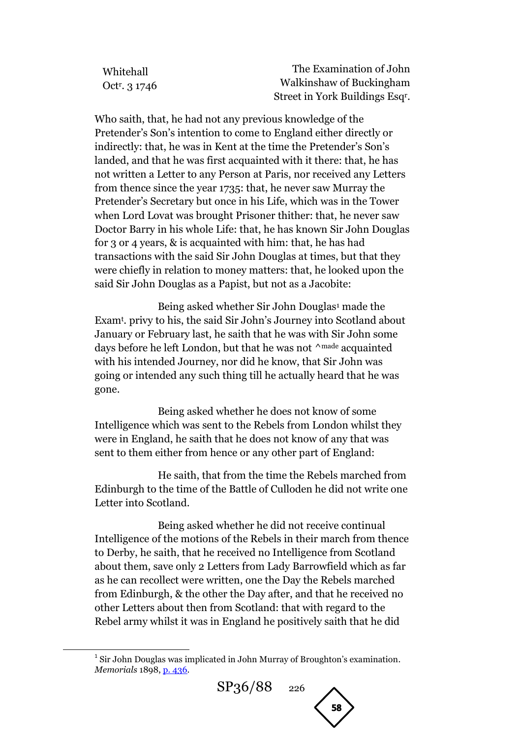| Whitehall                 | The Examination of John                     |
|---------------------------|---------------------------------------------|
| Oct <sup>r</sup> , 3 1746 | Walkinshaw of Buckingham                    |
|                           | Street in York Buildings Esq <sup>r</sup> . |

Who saith, that, he had not any previous knowledge of the Pretender's Son's intention to come to England either directly or indirectly: that, he was in Kent at the time the Pretender's Son's landed, and that he was first acquainted with it there: that, he has not written a Letter to any Person at Paris, nor received any Letters from thence since the year 1735: that, he never saw Murray the Pretender's Secretary but once in his Life, which was in the Tower when Lord Lovat was brought Prisoner thither: that, he never saw Doctor Barry in his whole Life: that, he has known Sir John Douglas for 3 or 4 years, & is acquainted with him: that, he has had transactions with the said Sir John Douglas at times, but that they were chiefly in relation to money matters: that, he looked upon the said Sir John Douglas as a Papist, but not as a Jacobite:

Being asked whether Sir John Douglas<sup>1</sup> made the Exam<sup>t</sup> . privy to his, the said Sir John's Journey into Scotland about January or February last, he saith that he was with Sir John some days before he left London, but that he was not  $\wedge^{\text{made}}$  acquainted with his intended Journey, nor did he know, that Sir John was going or intended any such thing till he actually heard that he was gone.

Being asked whether he does not know of some Intelligence which was sent to the Rebels from London whilst they were in England, he saith that he does not know of any that was sent to them either from hence or any other part of England:

He saith, that from the time the Rebels marched from Edinburgh to the time of the Battle of Culloden he did not write one Letter into Scotland.

Being asked whether he did not receive continual Intelligence of the motions of the Rebels in their march from thence to Derby, he saith, that he received no Intelligence from Scotland about them, save only 2 Letters from Lady Barrowfield which as far as he can recollect were written, one the Day the Rebels marched from Edinburgh, & the other the Day after, and that he received no other Letters about then from Scotland: that with regard to the Rebel army whilst it was in England he positively saith that he did

**.** 



<sup>&</sup>lt;sup>1</sup> Sir John Douglas was implicated in John Murray of Broughton's examination. *Memorials* 1898, [p. 436.](http://books.google.com/books?id=fvQcAAAAMAAJ&lpg=PA436&ots=9TprXEQsvb&dq=%22Sir%20John%20Douglas%22%201746&pg=PA436#v=onepage&q=%22Sir%20John%20Douglas%22%201746&f=false)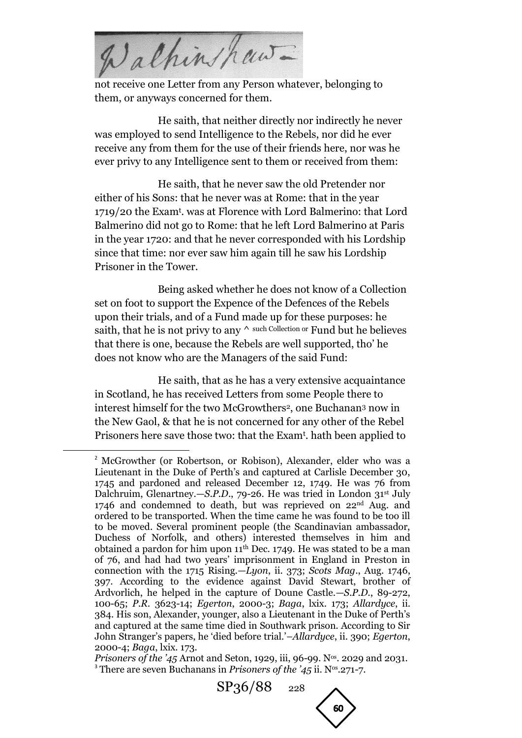Walkinshaw-

not receive one Letter from any Person whatever, belonging to them, or anyways concerned for them.

He saith, that neither directly nor indirectly he never was employed to send Intelligence to the Rebels, nor did he ever receive any from them for the use of their friends here, nor was he ever privy to any Intelligence sent to them or received from them:

He saith, that he never saw the old Pretender nor either of his Sons: that he never was at Rome: that in the year 1719/20 the Exam<sup>t</sup> . was at Florence with Lord Balmerino: that Lord Balmerino did not go to Rome: that he left Lord Balmerino at Paris in the year 1720: and that he never corresponded with his Lordship since that time: nor ever saw him again till he saw his Lordship Prisoner in the Tower.

Being asked whether he does not know of a Collection set on foot to support the Expence of the Defences of the Rebels upon their trials, and of a Fund made up for these purposes: he saith, that he is not privy to any  $\wedge$  such Collection or Fund but he believes that there is one, because the Rebels are well supported, tho' he does not know who are the Managers of the said Fund:

He saith, that as he has a very extensive acquaintance in Scotland, he has received Letters from some People there to interest himself for the two McGrowthers2, one Buchanan<sup>3</sup> now in the New Gaol, & that he is not concerned for any other of the Rebel Prisoners here save those two: that the Exam<sup>t</sup>. hath been applied to

**.** 

SP36/88<sub>228</sub>



<sup>&</sup>lt;sup>2</sup> McGrowther (or Robertson, or Robison), Alexander, elder who was a Lieutenant in the Duke of Perth's and captured at Carlisle December 30, 1745 and pardoned and released December 12, 1749. He was 76 from Dalchruim, Glenartney.—*S.P.D.*, 79-26. He was tried in London 31<sup>st</sup> July 1746 and condemned to death, but was reprieved on 22nd Aug. and ordered to be transported. When the time came he was found to be too ill to be moved. Several prominent people (the Scandinavian ambassador, Duchess of Norfolk, and others) interested themselves in him and obtained a pardon for him upon  $11<sup>th</sup>$  Dec. 1749. He was stated to be a man of 76, and had had two years' imprisonment in England in Preston in connection with the 1715 Rising.—*Lyon*, ii. 373; *Scots Mag*., Aug. 1746, 397. According to the evidence against David Stewart, brother of Ardvorlich, he helped in the capture of Doune Castle.—*S.P.D.*, 89-272, 100-65; *P.R.* 3623-14; *Egerton*, 2000-3; *Baga*, lxix. 173; *Allardyce*, ii. 384. His son, Alexander, younger, also a Lieutenant in the Duke of Perth's and captured at the same time died in Southwark prison. According to Sir John Stranger's papers, he 'died before trial.'–*Allardyce*, ii. 390; *Egerton*, 2000-4; *Baga*, lxix. 173.

*Prisoners of the '45* Arnot and Seton, 1929, iii, 96-99. N<sup>os</sup>, 2029 and 2031. <sup>3</sup> There are seven Buchanans in *Prisoners of the '45* ii. N<sup>os</sup>.271-7.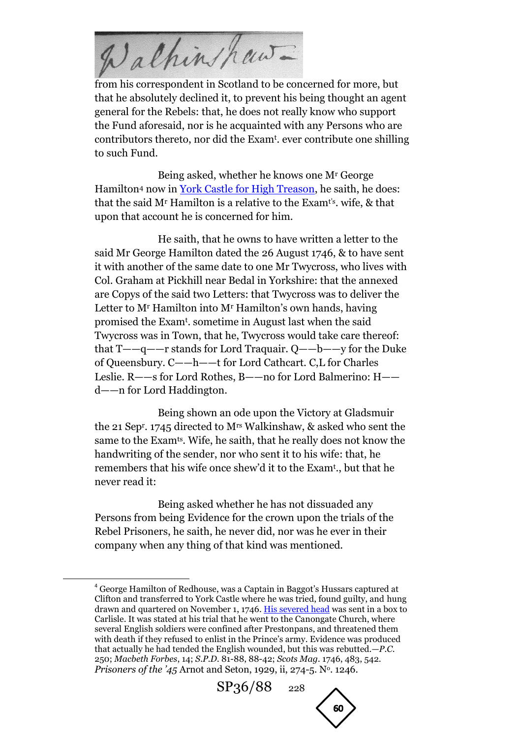Walkinshaw-

from his correspondent in Scotland to be concerned for more, but that he absolutely declined it, to prevent his being thought an agent general for the Rebels: that, he does not really know who support the Fund aforesaid, nor is he acquainted with any Persons who are contributors thereto, nor did the Exam<sup>t</sup> . ever contribute one shilling to such Fund.

Being asked, whether he knows one M<sup>r</sup> George Hamilton<sup>4</sup> now in [York Castle for High Treason,](http://books.google.com/books?id=Z3FIAAAAYAAJ&lpg=PA523&ots=CwcuZZrOBE&dq=%22George%20Hamilton%22%20York%20Castle%201746&pg=PA523#v=onepage&q&f=false) he saith, he does: that the said  $M<sup>r</sup>$  Hamilton is a relative to the Exam<sup>t's</sup>, wife, & that upon that account he is concerned for him.

He saith, that he owns to have written a letter to the said Mr George Hamilton dated the 26 August 1746, & to have sent it with another of the same date to one Mr Twycross, who lives with Col. Graham at Pickhill near Bedal in Yorkshire: that the annexed are Copys of the said two Letters: that Twycross was to deliver the Letter to M<sup>r</sup> Hamilton into M<sup>r</sup> Hamilton's own hands, having promised the Exam<sup>t</sup> . sometime in August last when the said Twycross was in Town, that he, Twycross would take care thereof: that T——q——r stands for Lord Traquair. Q——b——y for the Duke of Queensbury. C——h——t for Lord Cathcart. C,L for Charles Leslie. R——s for Lord Rothes, B——no for Lord Balmerino: H— d——n for Lord Haddington.

Being shown an ode upon the Victory at Gladsmuir the 21 Sep<sup>r</sup> . 1745 directed to Mrs Walkinshaw, & asked who sent the same to the Examts. Wife, he saith, that he really does not know the handwriting of the sender, nor who sent it to his wife: that, he remembers that his wife once shew'd it to the Exam<sup>t</sup> ., but that he never read it:

Being asked whether he has not dissuaded any Persons from being Evidence for the crown upon the trials of the Rebel Prisoners, he saith, he never did, nor was he ever in their company when any thing of that kind was mentioned.

1

<sup>4</sup> George Hamilton of Redhouse, was a Captain in Baggot's Hussars captured at Clifton and transferred to York Castle where he was tried, found guilty, and hung drawn and quartered on November 1, 1746. [His severed head](http://books.google.com/books?id=9-NMqy8aPPoC&lpg=PA60&ots=fempOO7G6I&dq=%22George%20Hamilton%22%20York%20Castle%201746&pg=PA61#v=onepage&q&f=false) was sent in a box to Carlisle. It was stated at his trial that he went to the Canongate Church, where several English soldiers were confined after Prestonpans, and threatened them with death if they refused to enlist in the Prince's army. Evidence was produced that actually he had tended the English wounded, but this was rebutted.—*P.C.* 250; *Macbeth Forbes*, 14; *S.P.D.* 81-88, 88-42; *Scots Mag.* 1746, 483, 542. *Prisoners of the '45* Arnot and Seton, 1929, ii, 274-5. N<sup>o</sup>. 1246.